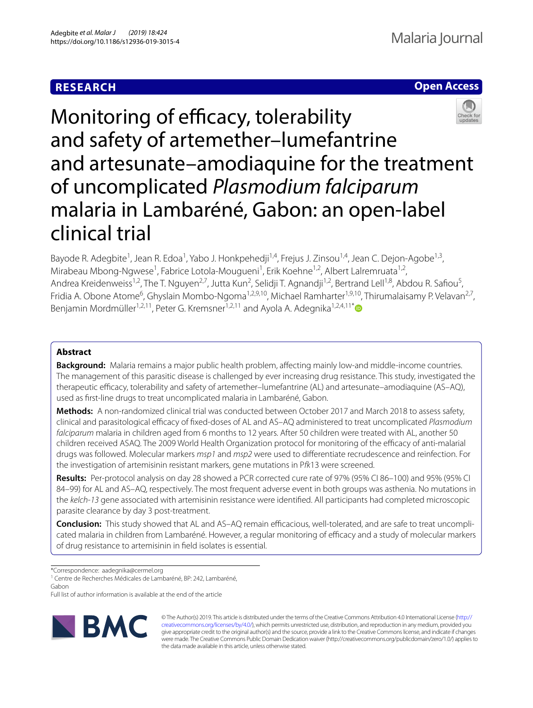# **RESEARCH**

# **Open Access**



Monitoring of efficacy, tolerability and safety of artemether–lumefantrine and artesunate–amodiaquine for the treatment of uncomplicated *Plasmodium falciparum* malaria in Lambaréné, Gabon: an open-label clinical trial

Bayode R. Adegbite<sup>1</sup>, Jean R. Edoa<sup>1</sup>, Yabo J. Honkpehedji<sup>1,4</sup>, Frejus J. Zinsou<sup>1,4</sup>, Jean C. Dejon-Agobe<sup>1,3</sup>, Mirabeau Mbong-Ngwese<sup>1</sup>, Fabrice Lotola-Mougueni<sup>1</sup>, Erik Koehne<sup>1,2</sup>, Albert Lalremruata<sup>1,2</sup>, Andrea Kreidenweiss<sup>1,2</sup>, The T. Nguyen<sup>2,7</sup>, Jutta Kun<sup>2</sup>, Selidji T. Agnandji<sup>1,2</sup>, Bertrand Lell<sup>1,8</sup>, Abdou R. Safiou<sup>5</sup>, Fridia A. Obone Atome<sup>6</sup>, Ghyslain Mombo-Ngoma<sup>1,2,9,10</sup>, Michael Ramharter<sup>1,9,10</sup>, Thirumalaisamy P. Velavan<sup>2,7</sup>, Benjamin Mordmüller<sup>1,2,11</sup>, Peter G. Kremsner<sup>1,2,11</sup> and Ayola A. Adegnika<sup>1,2,4,11[\\*](http://orcid.org/0000-0003-3197-5946)</sup>

## **Abstract**

**Background:** Malaria remains a major public health problem, afecting mainly low-and middle-income countries. The management of this parasitic disease is challenged by ever increasing drug resistance. This study, investigated the therapeutic efficacy, tolerability and safety of artemether–lumefantrine (AL) and artesunate–amodiaquine (AS–AQ), used as frst-line drugs to treat uncomplicated malaria in Lambaréné, Gabon.

**Methods:** A non-randomized clinical trial was conducted between October 2017 and March 2018 to assess safety, clinical and parasitological efficacy of fixed-doses of AL and AS–AQ administered to treat uncomplicated *Plasmodium falciparum* malaria in children aged from 6 months to 12 years. After 50 children were treated with AL, another 50 children received ASAQ. The 2009 World Health Organization protocol for monitoring of the efcacy of anti‑malarial drugs was followed. Molecular markers *msp1* and *msp2* were used to diferentiate recrudescence and reinfection. For the investigation of artemisinin resistant markers, gene mutations in P*fk*13 were screened.

**Results:** Per-protocol analysis on day 28 showed a PCR corrected cure rate of 97% (95% CI 86–100) and 95% (95% CI 84–99) for AL and AS–AQ, respectively. The most frequent adverse event in both groups was asthenia. No mutations in the *kelch*-*13* gene associated with artemisinin resistance were identifed. All participants had completed microscopic parasite clearance by day 3 post-treatment.

**Conclusion:** This study showed that AL and AS–AQ remain efficacious, well-tolerated, and are safe to treat uncomplicated malaria in children from Lambaréné. However, a regular monitoring of efficacy and a study of molecular markers of drug resistance to artemisinin in feld isolates is essential.

\*Correspondence: aadegnika@cermel.org

<sup>1</sup> Centre de Recherches Médicales de Lambaréné, BP: 242, Lambaréné, Gabon

Full list of author information is available at the end of the article



© The Author(s) 2019. This article is distributed under the terms of the Creative Commons Attribution 4.0 International License [\(http://](http://creativecommons.org/licenses/by/4.0/) [creativecommons.org/licenses/by/4.0/\)](http://creativecommons.org/licenses/by/4.0/), which permits unrestricted use, distribution, and reproduction in any medium, provided you give appropriate credit to the original author(s) and the source, provide a link to the Creative Commons license, and indicate if changes were made. The Creative Commons Public Domain Dedication waiver (http://creativecommons.org/publicdomain/zero/1.0/) applies to the data made available in this article, unless otherwise stated.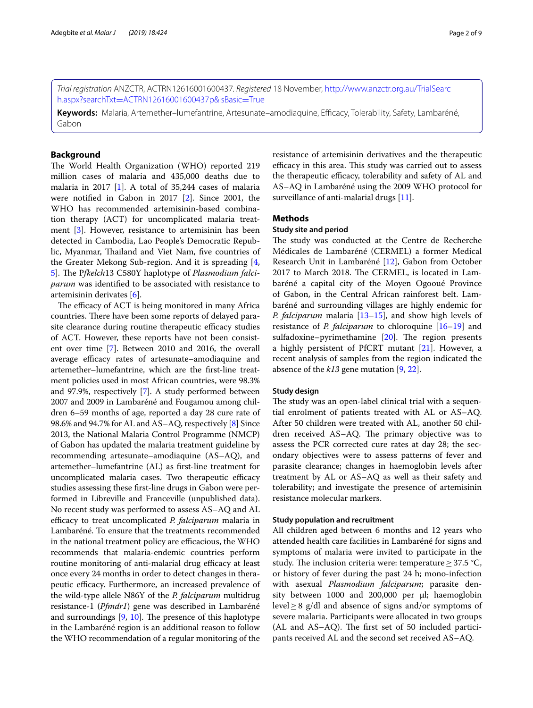*Trial registration* ANZCTR, ACTRN12616001600437*. Registered* 18 November, [http://www.anzctr.org.au/TrialSearc](http://www.anzctr.org.au/TrialSearch.aspx?searchTxt=ACTRN12616001600437p&isBasic=True) h.aspx?searchTxt=[ACTRN12616001600437p&isBasic](http://www.anzctr.org.au/TrialSearch.aspx?searchTxt=ACTRN12616001600437p&isBasic=True)=True

**Keywords:** Malaria, Artemether–lumefantrine, Artesunate–amodiaquine, Efcacy, Tolerability, Safety, Lambaréné, Gabon

## **Background**

The World Health Organization (WHO) reported 219 million cases of malaria and 435,000 deaths due to malaria in 2017 [[1\]](#page-7-0). A total of 35,244 cases of malaria were notifed in Gabon in 2017 [\[2](#page-7-1)]. Since 2001, the WHO has recommended artemisinin-based combination therapy (ACT) for uncomplicated malaria treatment [[3\]](#page-7-2). However, resistance to artemisinin has been detected in Cambodia, Lao People's Democratic Republic, Myanmar, Thailand and Viet Nam, five countries of the Greater Mekong Sub-region. And it is spreading [\[4](#page-7-3), [5\]](#page-7-4). The *Pfkelch*13 C580Y haplotype of *Plasmodium falciparum* was identifed to be associated with resistance to artemisinin derivates [\[6\]](#page-7-5).

The efficacy of ACT is being monitored in many Africa countries. There have been some reports of delayed parasite clearance during routine therapeutic efficacy studies of ACT. However, these reports have not been consistent over time [\[7](#page-7-6)]. Between 2010 and 2016, the overall average efficacy rates of artesunate–amodiaquine and artemether–lumefantrine, which are the frst-line treatment policies used in most African countries, were 98.3% and 97.9%, respectively [\[7](#page-7-6)]. A study performed between 2007 and 2009 in Lambaréné and Fougamou among children 6–59 months of age, reported a day 28 cure rate of 98.6% and 94.7% for AL and AS–AQ, respectively [[8\]](#page-7-7) Since 2013, the National Malaria Control Programme (NMCP) of Gabon has updated the malaria treatment guideline by recommending artesunate–amodiaquine (AS–AQ), and artemether–lumefantrine (AL) as frst-line treatment for uncomplicated malaria cases. Two therapeutic efficacy studies assessing these frst-line drugs in Gabon were performed in Libreville and Franceville (unpublished data). No recent study was performed to assess AS–AQ and AL efficacy to treat uncomplicated *P. falciparum* malaria in Lambaréné. To ensure that the treatments recommended in the national treatment policy are efficacious, the WHO recommends that malaria-endemic countries perform routine monitoring of anti-malarial drug efficacy at least once every 24 months in order to detect changes in therapeutic efficacy. Furthermore, an increased prevalence of the wild-type allele N86Y of the *P. falciparum* multidrug resistance-1 (*Pfmdr1*) gene was described in Lambaréné and surroundings  $[9, 10]$  $[9, 10]$  $[9, 10]$  $[9, 10]$ . The presence of this haplotype in the Lambaréné region is an additional reason to follow the WHO recommendation of a regular monitoring of the resistance of artemisinin derivatives and the therapeutic efficacy in this area. This study was carried out to assess the therapeutic efficacy, tolerability and safety of AL and AS–AQ in Lambaréné using the 2009 WHO protocol for surveillance of anti-malarial drugs [[11\]](#page-7-10).

## **Methods**

## **Study site and period**

The study was conducted at the Centre de Recherche Médicales de Lambaréné (CERMEL) a former Medical Research Unit in Lambaréné [\[12](#page-7-11)], Gabon from October 2017 to March 2018. The CERMEL, is located in Lambaréné a capital city of the Moyen Ogooué Province of Gabon, in the Central African rainforest belt. Lambaréné and surrounding villages are highly endemic for *P. falciparum* malaria [\[13](#page-7-12)[–15\]](#page-7-13), and show high levels of resistance of *P. falciparum* to chloroquine [[16](#page-7-14)[–19](#page-7-15)] and sulfadoxine–pyrimethamine  $[20]$  $[20]$  $[20]$ . The region presents a highly persistent of PfCRT mutant [\[21\]](#page-7-17). However, a recent analysis of samples from the region indicated the absence of the *k13* gene mutation [\[9](#page-7-8), [22\]](#page-7-18).

## **Study design**

The study was an open-label clinical trial with a sequential enrolment of patients treated with AL or AS–AQ. After 50 children were treated with AL, another 50 children received AS-AQ. The primary objective was to assess the PCR corrected cure rates at day 28; the secondary objectives were to assess patterns of fever and parasite clearance; changes in haemoglobin levels after treatment by AL or AS–AQ as well as their safety and tolerability; and investigate the presence of artemisinin resistance molecular markers.

## **Study population and recruitment**

All children aged between 6 months and 12 years who attended health care facilities in Lambaréné for signs and symptoms of malaria were invited to participate in the study. The inclusion criteria were: temperature  $\geq 37.5$  °C, or history of fever during the past 24 h; mono-infection with asexual *Plasmodium falciparum*; parasite density between 1000 and 200,000 per µl; haemoglobin level≥8 g/dl and absence of signs and/or symptoms of severe malaria. Participants were allocated in two groups  $(AL and AS-AQ)$ . The first set of 50 included participants received AL and the second set received AS–AQ.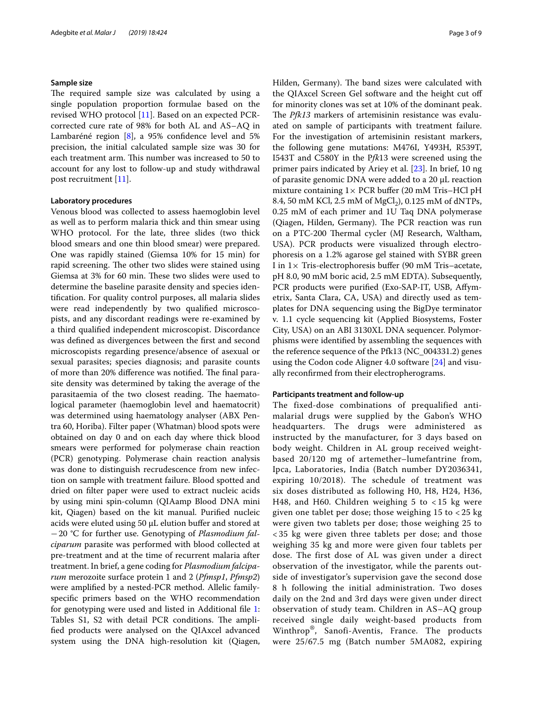## **Sample size**

The required sample size was calculated by using a single population proportion formulae based on the revised WHO protocol [[11\]](#page-7-10). Based on an expected PCRcorrected cure rate of 98% for both AL and AS–AQ in Lambaréné region [\[8](#page-7-7)], a 95% confidence level and 5% precision, the initial calculated sample size was 30 for each treatment arm. This number was increased to 50 to account for any lost to follow-up and study withdrawal post recruitment [\[11](#page-7-10)].

## **Laboratory procedures**

Venous blood was collected to assess haemoglobin level as well as to perform malaria thick and thin smear using WHO protocol. For the late, three slides (two thick blood smears and one thin blood smear) were prepared. One was rapidly stained (Giemsa 10% for 15 min) for rapid screening. The other two slides were stained using Giemsa at 3% for 60 min. These two slides were used to determine the baseline parasite density and species identifcation. For quality control purposes, all malaria slides were read independently by two qualifed microscopists, and any discordant readings were re-examined by a third qualifed independent microscopist. Discordance was defned as divergences between the frst and second microscopists regarding presence/absence of asexual or sexual parasites; species diagnosis; and parasite counts of more than 20% difference was notified. The final parasite density was determined by taking the average of the parasitaemia of the two closest reading. The haematological parameter (haemoglobin level and haematocrit) was determined using haematology analyser (ABX Pentra 60, Horiba). Filter paper (Whatman) blood spots were obtained on day 0 and on each day where thick blood smears were performed for polymerase chain reaction (PCR) genotyping. Polymerase chain reaction analysis was done to distinguish recrudescence from new infection on sample with treatment failure. Blood spotted and dried on flter paper were used to extract nucleic acids by using mini spin-column (QIAamp Blood DNA mini kit, Qiagen) based on the kit manual. Purifed nucleic acids were eluted using 50 µL elution buffer and stored at −20 °C for further use. Genotyping of *Plasmodium falciparum* parasite was performed with blood collected at pre-treatment and at the time of recurrent malaria after treatment. In brief, a gene coding for *Plasmodium falciparum* merozoite surface protein 1 and 2 (*Pfmsp1*, *Pfmsp2*) were amplifed by a nested-PCR method. Allelic familyspecifc primers based on the WHO recommendation for genotyping were used and listed in Additional fle [1](#page-6-0): Tables S1, S2 with detail PCR conditions. The amplifed products were analysed on the QIAxcel advanced system using the DNA high-resolution kit (Qiagen, Hilden, Germany). The band sizes were calculated with the QIAxcel Screen Gel software and the height cut of for minority clones was set at 10% of the dominant peak. The *Pfk13* markers of artemisinin resistance was evaluated on sample of participants with treatment failure. For the investigation of artemisinin resistant markers, the following gene mutations: M476I, Y493H, R539T, I543T and C580Y in the P*fk*13 were screened using the primer pairs indicated by Ariey et al. [\[23](#page-7-19)]. In brief, 10 ng of parasite genomic DNA were added to a 20 µL reaction mixture containing  $1 \times PCR$  buffer (20 mM Tris–HCl pH 8.4, 50 mM KCl, 2.5 mM of  $MgCl_2$ ), 0.125 mM of dNTPs, 0.25 mM of each primer and 1U Taq DNA polymerase (Qiagen, Hilden, Germany). The PCR reaction was run on a PTC-200 Thermal cycler (MJ Research, Waltham, USA). PCR products were visualized through electrophoresis on a 1.2% agarose gel stained with SYBR green I in  $1 \times$  Tris-electrophoresis buffer (90 mM Tris–acetate, pH 8.0, 90 mM boric acid, 2.5 mM EDTA). Subsequently, PCR products were purifed (Exo-SAP-IT, USB, Afymetrix, Santa Clara, CA, USA) and directly used as templates for DNA sequencing using the BigDye terminator v. 1.1 cycle sequencing kit (Applied Biosystems, Foster City, USA) on an ABI 3130XL DNA sequencer. Polymorphisms were identifed by assembling the sequences with the reference sequence of the Pfk13 (NC\_004331.2) genes using the Codon code Aligner 4.0 software [\[24](#page-8-0)] and visually reconfrmed from their electropherograms.

## **Participants treatment and follow‑up**

The fixed-dose combinations of prequalified antimalarial drugs were supplied by the Gabon's WHO headquarters. The drugs were administered as instructed by the manufacturer, for 3 days based on body weight. Children in AL group received weightbased 20/120 mg of artemether–lumefantrine from, Ipca, Laboratories, India (Batch number DY2036341, expiring 10/2018). The schedule of treatment was six doses distributed as following H0, H8, H24, H36, H48, and H60. Children weighing  $5$  to  $\lt 15$  kg were given one tablet per dose; those weighing 15 to < 25 kg were given two tablets per dose; those weighing 25 to < 35 kg were given three tablets per dose; and those weighing 35 kg and more were given four tablets per dose. The first dose of AL was given under a direct observation of the investigator, while the parents outside of investigator's supervision gave the second dose 8 h following the initial administration. Two doses daily on the 2nd and 3rd days were given under direct observation of study team. Children in AS–AQ group received single daily weight-based products from Winthrop®, Sanofi-Aventis, France. The products were 25/67.5 mg (Batch number 5MA082, expiring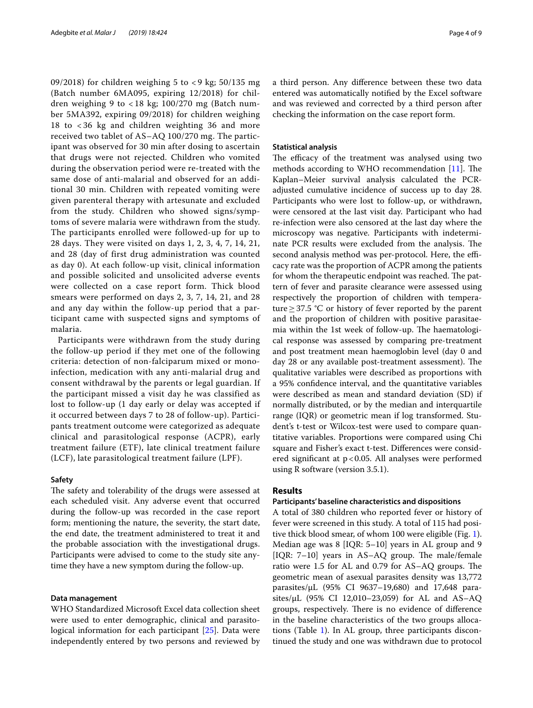09/2018) for children weighing 5 to  $<$  9 kg; 50/135 mg (Batch number 6MA095, expiring 12/2018) for children weighing 9 to  $<$  18 kg; 100/270 mg (Batch number 5MA392, expiring 09/2018) for children weighing 18 to < 36 kg and children weighting 36 and more received two tablet of AS–AQ 100/270 mg. The participant was observed for 30 min after dosing to ascertain that drugs were not rejected. Children who vomited during the observation period were re-treated with the same dose of anti-malarial and observed for an additional 30 min. Children with repeated vomiting were given parenteral therapy with artesunate and excluded from the study. Children who showed signs/symptoms of severe malaria were withdrawn from the study. The participants enrolled were followed-up for up to 28 days. They were visited on days 1, 2, 3, 4, 7, 14, 21, and 28 (day of first drug administration was counted as day 0). At each follow-up visit, clinical information and possible solicited and unsolicited adverse events were collected on a case report form. Thick blood smears were performed on days 2, 3, 7, 14, 21, and 28 and any day within the follow-up period that a participant came with suspected signs and symptoms of malaria.

Participants were withdrawn from the study during the follow-up period if they met one of the following criteria: detection of non-falciparum mixed or monoinfection, medication with any anti-malarial drug and consent withdrawal by the parents or legal guardian. If the participant missed a visit day he was classified as lost to follow-up (1 day early or delay was accepted if it occurred between days 7 to 28 of follow-up). Participants treatment outcome were categorized as adequate clinical and parasitological response (ACPR), early treatment failure (ETF), late clinical treatment failure (LCF), late parasitological treatment failure (LPF).

## **Safety**

The safety and tolerability of the drugs were assessed at each scheduled visit. Any adverse event that occurred during the follow-up was recorded in the case report form; mentioning the nature, the severity, the start date, the end date, the treatment administered to treat it and the probable association with the investigational drugs. Participants were advised to come to the study site anytime they have a new symptom during the follow-up.

## **Data management**

WHO Standardized Microsoft Excel data collection sheet were used to enter demographic, clinical and parasitological information for each participant [\[25](#page-8-1)]. Data were independently entered by two persons and reviewed by a third person. Any diference between these two data entered was automatically notifed by the Excel software and was reviewed and corrected by a third person after checking the information on the case report form.

## **Statistical analysis**

The efficacy of the treatment was analysed using two methods according to WHO recommendation  $[11]$  $[11]$  $[11]$ . The Kaplan–Meier survival analysis calculated the PCRadjusted cumulative incidence of success up to day 28. Participants who were lost to follow-up, or withdrawn, were censored at the last visit day. Participant who had re-infection were also censored at the last day where the microscopy was negative. Participants with indeterminate PCR results were excluded from the analysis. The second analysis method was per-protocol. Here, the efficacy rate was the proportion of ACPR among the patients for whom the therapeutic endpoint was reached. The pattern of fever and parasite clearance were assessed using respectively the proportion of children with temperature≥37.5 °C or history of fever reported by the parent and the proportion of children with positive parasitaemia within the 1st week of follow-up. The haematological response was assessed by comparing pre-treatment and post treatment mean haemoglobin level (day 0 and day 28 or any available post-treatment assessment). The qualitative variables were described as proportions with a 95% confdence interval, and the quantitative variables were described as mean and standard deviation (SD) if normally distributed, or by the median and interquartile range (IQR) or geometric mean if log transformed. Student's t-test or Wilcox-test were used to compare quantitative variables. Proportions were compared using Chi square and Fisher's exact t-test. Diferences were considered signifcant at p<0.05. All analyses were performed using R software (version 3.5.1).

## **Results**

## **Participants' baseline characteristics and dispositions**

A total of 380 children who reported fever or history of fever were screened in this study. A total of 115 had positive thick blood smear, of whom 100 were eligible (Fig. [1](#page-4-0)). Median age was 8 [IQR: 5–10] years in AL group and 9 [IQR:  $7-10$ ] years in AS-AQ group. The male/female ratio were 1.5 for AL and 0.79 for AS-AQ groups. The geometric mean of asexual parasites density was 13,772 parasites/µL (95% CI 9637–19,680) and 17,648 parasites/ $\mu$ L (95% CI 12,010–23,059) for AL and AS–AQ groups, respectively. There is no evidence of difference in the baseline characteristics of the two groups allocations (Table [1\)](#page-4-1). In AL group, three participants discontinued the study and one was withdrawn due to protocol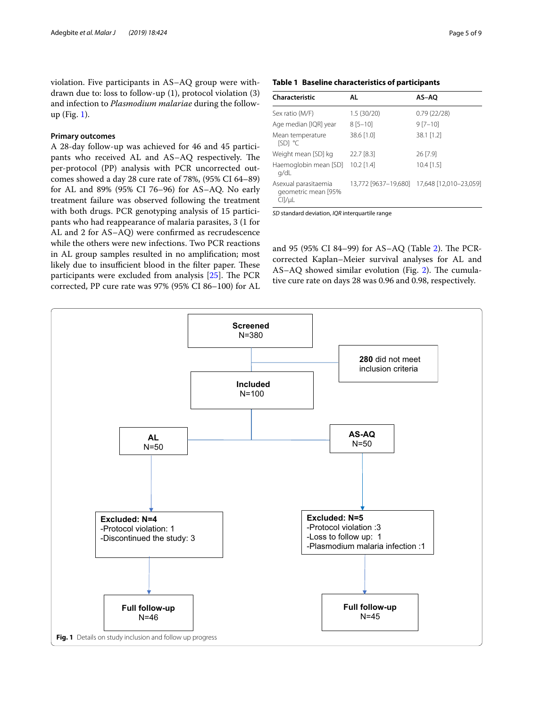violation. Five participants in AS–AQ group were withdrawn due to: loss to follow-up (1), protocol violation (3) and infection to *Plasmodium malariae* during the followup (Fig. [1\)](#page-4-0).

## **Primary outcomes**

A 28-day follow-up was achieved for 46 and 45 participants who received AL and AS–AQ respectively. The per-protocol (PP) analysis with PCR uncorrected outcomes showed a day 28 cure rate of 78%, (95% CI 64–89) for AL and 89% (95% CI 76–96) for AS–AQ. No early treatment failure was observed following the treatment with both drugs. PCR genotyping analysis of 15 participants who had reappearance of malaria parasites, 3 (1 for AL and 2 for AS–AQ) were confrmed as recrudescence while the others were new infections. Two PCR reactions in AL group samples resulted in no amplifcation; most likely due to insufficient blood in the filter paper. These participants were excluded from analysis  $[25]$  $[25]$ . The PCR corrected, PP cure rate was 97% (95% CI 86–100) for AL

| Characteristic                                             | AL           | AS-AO                                       |
|------------------------------------------------------------|--------------|---------------------------------------------|
| Sex ratio (M/F)                                            | 1.5(30/20)   | 0.79(22/28)                                 |
| Age median [IQR] year                                      | $8[5 - 10]$  | $9 [7 - 10]$                                |
| Mean temperature<br>ISD1 °C                                | 38.6 [1.0]   | 38.1 [1.2]                                  |
| Weight mean [SD] kg                                        | 22.7 [8.3]   | 26 [7.9]                                    |
| Haemoglobin mean [SD]<br>g/dL                              | $10.2$ [1.4] | $10.4$ [1.5]                                |
| Asexual parasitaemia<br>geometric mean [95%<br>$ClJ/\mu L$ |              | 13,772 [9637-19,680] 17,648 [12,010-23,059] |

<span id="page-4-1"></span>**Table 1 Baseline characteristics of participants**

*SD* standard deviation, *IQR* interquartile range

and 95 (95% CI 84-99) for AS-AQ (Table [2](#page-5-0)). The PCRcorrected Kaplan–Meier survival analyses for AL and AS–AQ showed similar evolution (Fig. [2\)](#page-5-1). The cumulative cure rate on days 28 was 0.96 and 0.98, respectively.

<span id="page-4-0"></span>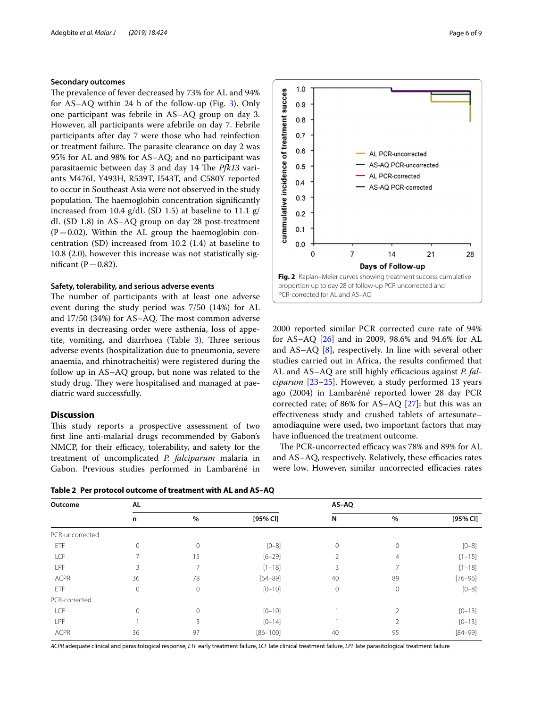## **Secondary outcomes**

The prevalence of fever decreased by 73% for AL and 94% for AS–AQ within 24 h of the follow-up (Fig. [3](#page-6-1)). Only one participant was febrile in AS–AQ group on day 3. However, all participants were afebrile on day 7. Febrile participants after day 7 were those who had reinfection or treatment failure. The parasite clearance on day 2 was 95% for AL and 98% for AS–AQ; and no participant was parasitaemic between day 3 and day 14 The *Pfk13* variants M476I, Y493H, R539T, I543T, and C580Y reported to occur in Southeast Asia were not observed in the study population. The haemoglobin concentration significantly increased from 10.4 g/dL (SD 1.5) at baseline to 11.1 g/ dL (SD 1.8) in AS–AQ group on day 28 post-treatment  $(P=0.02)$ . Within the AL group the haemoglobin concentration (SD) increased from 10.2 (1.4) at baseline to 10.8 (2.0), however this increase was not statistically significant ( $P = 0.82$ ).

## **Safety, tolerability, and serious adverse events**

The number of participants with at least one adverse event during the study period was 7/50 (14%) for AL and  $17/50$  (34%) for AS–AQ. The most common adverse events in decreasing order were asthenia, loss of appetite, vomiting, and diarrhoea (Table  $3$ ). Three serious adverse events (hospitalization due to pneumonia, severe anaemia, and rhinotracheitis) were registered during the follow up in AS–AQ group, but none was related to the study drug. They were hospitalised and managed at paediatric ward successfully.

## **Discussion**

This study reports a prospective assessment of two frst line anti-malarial drugs recommended by Gabon's NMCP, for their efficacy, tolerability, and safety for the treatment of uncomplicated *P. falciparum* malaria in Gabon. Previous studies performed in Lambaréné in



2000 reported similar PCR corrected cure rate of 94% for AS–AQ [[26\]](#page-8-2) and in 2009, 98.6% and 94.6% for AL and AS–AQ [[8](#page-7-7)], respectively. In line with several other studies carried out in Africa, the results confrmed that AL and AS-AQ are still highly efficacious against *P. falciparum* [\[23–](#page-7-19)[25\]](#page-8-1). However, a study performed 13 years ago (2004) in Lambaréné reported lower 28 day PCR corrected rate; of 86% for AS–AQ [\[27](#page-8-3)]; but this was an efectiveness study and crushed tablets of artesunate– amodiaquine were used, two important factors that may have infuenced the treatment outcome.

<span id="page-5-1"></span>**Fig. 2** Kaplan–Meier curves showing treatment success cumulative proportion up to day 28 of follow-up PCR uncorrected and

 $14$ 

Days of Follow-up

21

28

 $\overline{7}$ 

PCR-corrected for AL and AS–AQ

 $1.0$ 

 $0.9$  $0.8$  $0.7$  $0.6$ 

 $0.5$ 

 $0.4$ 

 $0.3$  $0.2$  $0.1$  $0.0$  $\mathbf 0$ 

cummulative incidence of treatment succes

The PCR-uncorrected efficacy was 78% and 89% for AL and AS–AQ, respectively. Relatively, these efficacies rates were low. However, similar uncorrected efficacies rates

<span id="page-5-0"></span>**Table 2 Per protocol outcome of treatment with AL and AS–AQ**

| Outcome         | AL           |             |              |    | AS-AQ          |             |  |
|-----------------|--------------|-------------|--------------|----|----------------|-------------|--|
|                 | n            | %           | $[95%$ CI]   | N  | %              | $[95%$ CI]  |  |
| PCR-uncorrected |              |             |              |    |                |             |  |
| ETF             | $\mathbf{0}$ | $\Omega$    | $[0 - 8]$    | 0  | $\mathbf{0}$   | $[0 - 8]$   |  |
| LCF             |              | 15          | $[6 - 29]$   |    | 4              | $[1 - 15]$  |  |
| LPF             | 3            |             | $[1 - 18]$   | 3  |                | $[1 - 18]$  |  |
| <b>ACPR</b>     | 36           | 78          | $[64 - 89]$  | 40 | 89             | $[76 - 96]$ |  |
| ETF             | $\mathbf{0}$ | $\mathbf 0$ | $[0 - 10]$   | 0  | $\mathbf 0$    | $[0 - 8]$   |  |
| PCR-corrected   |              |             |              |    |                |             |  |
| LCF             | $\Omega$     | $\Omega$    | $[0 - 10]$   |    | 2              | $[0 - 13]$  |  |
| LPF             |              | 3           | $[0 - 14]$   |    | $\mathfrak{D}$ | $[0 - 13]$  |  |
| <b>ACPR</b>     | 36           | 97          | $[86 - 100]$ | 40 | 95             | $[84 - 99]$ |  |

*ACPR* adequate clinical and parasitological response, *ETF* early treatment failure, *LCF* late clinical treatment failure, *LPF* late parasitological treatment failure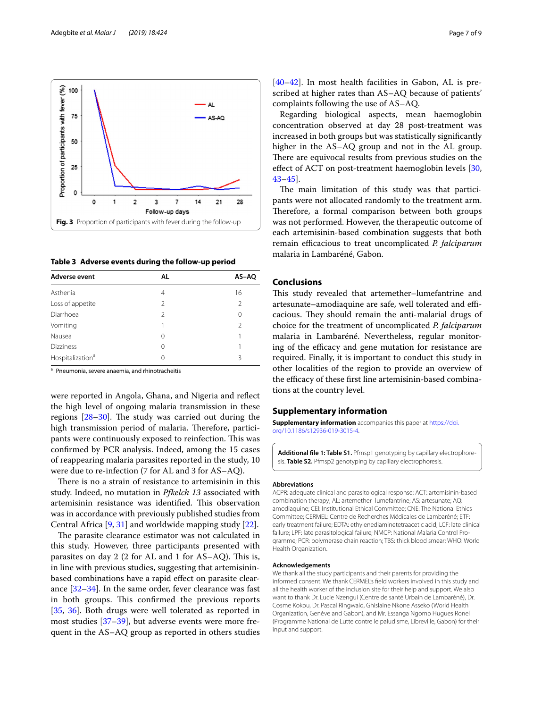

<span id="page-6-2"></span><span id="page-6-1"></span>**Table 3 Adverse events during the follow-up period**

| Adverse event                | AL             | AS-AQ          |
|------------------------------|----------------|----------------|
| Asthenia                     | 4              | 16             |
| Loss of appetite             | $\mathfrak{D}$ | $\mathfrak{D}$ |
| Diarrhoea                    | $\mathfrak{D}$ | $\Omega$       |
| Vomiting                     |                | $\mathfrak{D}$ |
| Nausea                       | 0              |                |
| <b>Dizziness</b>             | 0              |                |
| Hospitalization <sup>a</sup> | 0              | 3              |

<sup>a</sup> Pneumonia, severe anaemia, and rhinotracheitis

were reported in Angola, Ghana, and Nigeria and refect the high level of ongoing malaria transmission in these regions  $[28-30]$  $[28-30]$ . The study was carried out during the high transmission period of malaria. Therefore, participants were continuously exposed to reinfection. This was confrmed by PCR analysis. Indeed, among the 15 cases of reappearing malaria parasites reported in the study, 10 were due to re-infection (7 for AL and 3 for AS–AQ).

There is no a strain of resistance to artemisinin in this study. Indeed, no mutation in *Pfkelch 13* associated with artemisinin resistance was identified. This observation was in accordance with previously published studies from Central Africa [\[9](#page-7-8), [31\]](#page-8-6) and worldwide mapping study [[22\]](#page-7-18).

The parasite clearance estimator was not calculated in this study. However, three participants presented with parasites on day 2 (2 for AL and 1 for  $AS-AQ$ ). This is, in line with previous studies, suggesting that artemisininbased combinations have a rapid efect on parasite clearance [\[32](#page-8-7)[–34](#page-8-8)]. In the same order, fever clearance was fast in both groups. This confirmed the previous reports [[35,](#page-8-9) [36\]](#page-8-10). Both drugs were well tolerated as reported in most studies [[37–](#page-8-11)[39\]](#page-8-12), but adverse events were more frequent in the AS–AQ group as reported in others studies

[[40–](#page-8-13)[42\]](#page-8-14). In most health facilities in Gabon, AL is prescribed at higher rates than AS–AQ because of patients' complaints following the use of AS–AQ.

Regarding biological aspects, mean haemoglobin concentration observed at day 28 post-treatment was increased in both groups but was statistically signifcantly higher in the AS–AQ group and not in the AL group. There are equivocal results from previous studies on the effect of ACT on post-treatment haemoglobin levels [[30](#page-8-5), [43](#page-8-15)[–45](#page-8-16)].

The main limitation of this study was that participants were not allocated randomly to the treatment arm. Therefore, a formal comparison between both groups was not performed. However, the therapeutic outcome of each artemisinin-based combination suggests that both remain efficacious to treat uncomplicated *P. falciparum* malaria in Lambaréné, Gabon.

## **Conclusions**

This study revealed that artemether–lumefantrine and artesunate–amodiaquine are safe, well tolerated and efficacious. They should remain the anti-malarial drugs of choice for the treatment of uncomplicated *P. falciparum* malaria in Lambaréné. Nevertheless, regular monitoring of the efficacy and gene mutation for resistance are required. Finally, it is important to conduct this study in other localities of the region to provide an overview of the efficacy of these first line artemisinin-based combinations at the country level.

#### **Supplementary information**

**Supplementary information** accompanies this paper at [https://doi.](https://doi.org/10.1186/s12936-019-3015-4) [org/10.1186/s12936-019-3015-4.](https://doi.org/10.1186/s12936-019-3015-4)

<span id="page-6-0"></span>Additional file 1: Table S1. Pfmsp1 genotyping by capillary electrophoresis. **Table S2.** Pfmsp2 genotyping by capillary electrophoresis.

#### **Abbreviations**

ACPR: adequate clinical and parasitological response; ACT: artemisinin-based combination therapy; AL: artemether–lumefantrine; AS: artesunate; AQ: amodiaquine; CEI: Institutional Ethical Committee; CNE: The National Ethics Committee; CERMEL: Centre de Recherches Médicales de Lambaréné; ETF: early treatment failure; EDTA: ethylenediaminetetraacetic acid; LCF: late clinical failure; LPF: late parasitological failure; NMCP: National Malaria Control Programme; PCR: polymerase chain reaction; TBS: thick blood smear; WHO: World Health Organization.

#### **Acknowledgements**

We thank all the study participants and their parents for providing the informed consent. We thank CERMEL's feld workers involved in this study and all the health worker of the inclusion site for their help and support. We also want to thank Dr. Lucie Nzengui (Centre de santé Urbain de Lambaréné), Dr. Cosme Kokou, Dr. Pascal Ringwald, Ghislaine Nkone Asseko (World Health Organization, Genève and Gabon), and Mr. Essanga Ngomo Hugues Ronel (Programme National de Lutte contre le paludisme, Libreville, Gabon) for their input and support.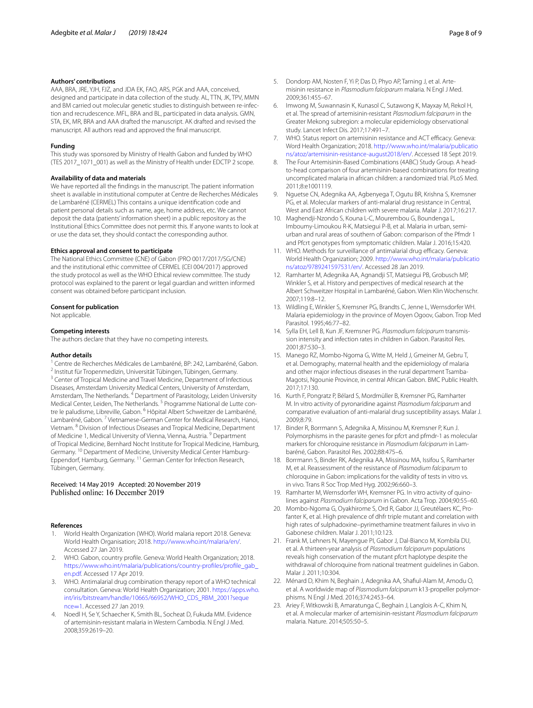### **Authors' contributions**

AAA, BRA, JRE, YJH, FJZ, and JDA EK, FAO, ARS, PGK and AAA, conceived, designed and participate in data collection of the study. AL, TTN, JK, TPV, MMN and BM carried out molecular genetic studies to distinguish between re-infection and recrudescence. MFL, BRA and BL, participated in data analysis. GMN, STA, EK, MR, BRA and AAA drafted the manuscript. AK drafted and revised the manuscript. All authors read and approved the fnal manuscript.

#### **Funding**

This study was sponsored by Ministry of Health Gabon and funded by WHO (TES 2017\_1071\_001) as well as the Ministry of Health under EDCTP 2 scope.

#### **Availability of data and materials**

We have reported all the fndings in the manuscript. The patient information sheet is available in institutional computer at Centre de Recherches Médicales de Lambaréné (CERMEL) This contains a unique identifcation code and patient personal details such as name, age, home address, etc. We cannot deposit the data (patients' information sheet) in a public repository as the Institutional Ethics Committee does not permit this. If anyone wants to look at or use the data set, they should contact the corresponding author.

#### **Ethics approval and consent to participate**

The National Ethics Committee (CNE) of Gabon (PRO 0017/2017/SG/CNE) and the institutional ethic committee of CERMEL (CEI 004/2017) approved the study protocol as well as the WHO Ethical review committee. The study protocol was explained to the parent or legal guardian and written informed consent was obtained before participant inclusion.

#### **Consent for publication**

Not applicable.

#### **Competing interests**

The authors declare that they have no competing interests.

#### **Author details**

<sup>1</sup> Centre de Recherches Médicales de Lambaréné, BP: 242, Lambaréné, Gabon. <sup>2</sup> Institut für Tropenmedizin, Universität Tübingen, Tübingen, Germany. <sup>3</sup> Center of Tropical Medicine and Travel Medicine, Department of Infectious Diseases, Amsterdam University Medical Centers, University of Amsterdam, Amsterdam, The Netherlands.<sup>4</sup> Department of Parasitology, Leiden University Medical Center, Leiden, The Netherlands.<sup>5</sup> Programme National de Lutte contre le paludisme, Libreville, Gabon. <sup>6</sup> Hôpital Albert Schweitzer de Lambaréné, Lambaréné, Gabon.<sup>7</sup> Vietnamese-German Center for Medical Research, Hanoi, Vietnam. 8 Division of Infectious Diseases and Tropical Medicine, Department of Medicine 1, Medical University of Vienna, Vienna, Austria. 9 Department of Tropical Medicine, Bernhard Nocht Institute for Tropical Medicine, Hamburg, Germany. <sup>10</sup> Department of Medicine, University Medical Center Hamburg-Eppendorf, Hamburg, Germany. 11 German Center for Infection Research, Tübingen, Germany.

# Received: 14 May 2019 Accepted: 20 November 2019

#### **References**

- <span id="page-7-0"></span>1. World Health Organization (WHO). World malaria report 2018. Geneva: World Health Organisation; 2018.<http://www.who.int/malaria/en/>. Accessed 27 Jan 2019.
- <span id="page-7-1"></span>2. WHO. Gabon, country profle. Geneva: World Health Organization; 2018. [https://www.who.int/malaria/publications/country-profles/profle\\_gab\\_](https://www.who.int/malaria/publications/country-profiles/profile_gab_en.pdf) [en.pdf.](https://www.who.int/malaria/publications/country-profiles/profile_gab_en.pdf) Accessed 17 Apr 2019.
- <span id="page-7-2"></span>3. WHO. Antimalarial drug combination therapy report of a WHO technical consultation. Geneva: World Health Organization; 2001. [https://apps.who.](https://apps.who.int/iris/bitstream/handle/10665/66952/WHO_CDS_RBM_2001%3fsequence%3d1) [int/iris/bitstream/handle/10665/66952/WHO\\_CDS\\_RBM\\_2001?seque](https://apps.who.int/iris/bitstream/handle/10665/66952/WHO_CDS_RBM_2001%3fsequence%3d1) nce=1. Accessed 27 Jan 2019.
- <span id="page-7-3"></span>4. [Noedl H](https://apps.who.int/iris/bitstream/handle/10665/66952/WHO_CDS_RBM_2001%3fsequence%3d1), Se Y, Schaecher K, Smith BL, Socheat D, Fukuda MM. Evidence of artemisinin-resistant malaria in Western Cambodia. N Engl J Med. 2008;359:2619–20.
- <span id="page-7-4"></span>5. Dondorp AM, Nosten F, Yi P, Das D, Phyo AP, Tarning J, et al. Artemisinin resistance in *Plasmodium falciparum* malaria. N Engl J Med. 2009;361:455–67.
- <span id="page-7-5"></span>6. Imwong M, Suwannasin K, Kunasol C, Sutawong K, Mayxay M, Rekol H, et al. The spread of artemisinin-resistant *Plasmodium falciparum* in the Greater Mekong subregion: a molecular epidemiology observational study. Lancet Infect Dis. 2017;17:491–7.
- <span id="page-7-6"></span>7. WHO. Status report on artemisinin resistance and ACT efficacy. Geneva: Word Health Organization; 2018. [http://www.who.int/malaria/publicatio](http://www.who.int/malaria/publications/atoz/artemisinin-resistance-august2018/en/) [ns/atoz/artemisinin-resistance-august2018/en/](http://www.who.int/malaria/publications/atoz/artemisinin-resistance-august2018/en/). Accessed 18 Sept 2019.
- <span id="page-7-7"></span>8. The Four Artemisinin-Based Combinations (4ABC) Study Group. A headto-head comparison of four artemisinin-based combinations for treating uncomplicated malaria in african children: a randomized trial. PLoS Med. 2011;8:e1001119.
- <span id="page-7-8"></span>9. Nguetse CN, Adegnika AA, Agbenyega T, Ogutu BR, Krishna S, Kremsner PG, et al. Molecular markers of anti-malarial drug resistance in Central, West and East African children with severe malaria. Malar J. 2017;16:217.
- <span id="page-7-9"></span>10. Maghendji-Nzondo S, Kouna L-C, Mourembou G, Boundenga L, Imboumy-Limoukou R-K, Matsiegui P-B, et al. Malaria in urban, semiurban and rural areas of southern of Gabon: comparison of the Pfmdr 1 and Pfcrt genotypes from symptomatic children. Malar J. 2016;15:420.
- <span id="page-7-10"></span>11. WHO. Methods for surveillance of antimalarial drug efficacy. Geneva: World Health Organization; 2009. [http://www.who.int/malaria/publicatio](http://www.who.int/malaria/publications/atoz/9789241597531/en/) [ns/atoz/9789241597531/en/.](http://www.who.int/malaria/publications/atoz/9789241597531/en/) Accessed 28 Jan 2019.
- <span id="page-7-11"></span>12. Ramharter M, Adegnika AA, Agnandji ST, Matsiegui PB, Grobusch MP, Winkler S, et al. History and perspectives of medical research at the Albert Schweitzer Hospital in Lambaréné, Gabon. Wien Klin Wochenschr. 2007;119:8–12.
- <span id="page-7-12"></span>13. Wildling E, Winkler S, Kremsner PG, Brandts C, Jenne L, Wernsdorfer WH. Malaria epidemiology in the province of Moyen Ogoov, Gabon. Trop Med Parasitol. 1995;46:77–82.
- 14. Sylla EH, Lell B, Kun JF, Kremsner PG. Plasmodium falciparum transmission intensity and infection rates in children in Gabon. Parasitol Res. 2001;87:530–3.
- <span id="page-7-13"></span>15. Manego RZ, Mombo-Ngoma G, Witte M, Held J, Gmeiner M, Gebru T, et al. Demography, maternal health and the epidemiology of malaria and other major infectious diseases in the rural department Tsamba-Magotsi, Ngounie Province, in central African Gabon. BMC Public Health. 2017;17:130.
- <span id="page-7-14"></span>16. Kurth F, Pongratz P, Bélard S, Mordmüller B, Kremsner PG, Ramharter M. In vitro activity of pyronaridine against *Plasmodium falciparum* and comparative evaluation of anti-malarial drug susceptibility assays. Malar J. 2009;8:79.
- 17. Binder R, Borrmann S, Adegnika A, Missinou M, Kremsner P, Kun J. Polymorphisms in the parasite genes for pfcrt and pfmdr-1 as molecular markers for chloroquine resistance in *Plasmodium falciparum* in Lam‑ baréné, Gabon. Parasitol Res. 2002;88:475–6.
- 18. Borrmann S, Binder RK, Adegnika AA, Missinou MA, Issifou S, Ramharter M, et al. Reassessment of the resistance of *Plasmodium falciparum* to chloroquine in Gabon: implications for the validity of tests in vitro vs. in vivo. Trans R Soc Trop Med Hyg. 2002;96:660–3.
- <span id="page-7-15"></span>19. Ramharter M, Wernsdorfer WH, Kremsner PG. In vitro activity of quinolines against *Plasmodium falciparum* in Gabon. Acta Trop. 2004;90:55–60.
- <span id="page-7-16"></span>20. Mombo-Ngoma G, Oyakhirome S, Ord R, Gabor JJ, Greutélaers KC, Profanter K, et al. High prevalence of dhfr triple mutant and correlation with high rates of sulphadoxine–pyrimethamine treatment failures in vivo in Gabonese children. Malar J. 2011;10:123.
- <span id="page-7-17"></span>21. Frank M, Lehners N, Mayengue PI, Gabor J, Dal-Bianco M, Kombila DU, et al. A thirteen-year analysis of *Plasmodium falciparum* populations reveals high conservation of the mutant pfcrt haplotype despite the withdrawal of chloroquine from national treatment guidelines in Gabon. Malar J. 2011;10:304.
- <span id="page-7-18"></span>22. Ménard D, Khim N, Beghain J, Adegnika AA, Shaful-Alam M, Amodu O, et al. A worldwide map of *Plasmodium falciparum* k13-propeller polymorphisms. N Engl J Med. 2016;374:2453–64.
- <span id="page-7-19"></span>23. Ariey F, Witkowski B, Amaratunga C, Beghain J, Langlois A-C, Khim N, et al. A molecular marker of artemisinin-resistant *Plasmodium falciparum* malaria. Nature. 2014;505:50–5.